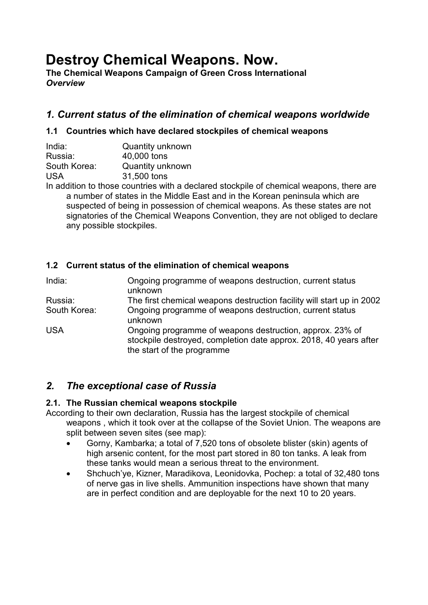# **Destroy Chemical Weapons. Now.**

**The Chemical Weapons Campaign of Green Cross International**  *Overview* 

# *1. Current status of the elimination of chemical weapons worldwide*

# **1.1 Countries which have declared stockpiles of chemical weapons**

| India:       | Quantity unknown        |
|--------------|-------------------------|
| Russia:      | 40,000 tons             |
| South Korea: | <b>Quantity unknown</b> |
| <b>USA</b>   | 31,500 tons             |
|              |                         |

In addition to those countries with a declared stockpile of chemical weapons, there are a number of states in the Middle East and in the Korean peninsula which are suspected of being in possession of chemical weapons. As these states are not signatories of the Chemical Weapons Convention, they are not obliged to declare any possible stockpiles.

# **1.2 Current status of the elimination of chemical weapons**

| India:       | Ongoing programme of weapons destruction, current status<br>unknown                                                                                         |
|--------------|-------------------------------------------------------------------------------------------------------------------------------------------------------------|
| Russia:      | The first chemical weapons destruction facility will start up in 2002                                                                                       |
| South Korea: | Ongoing programme of weapons destruction, current status<br>unknown                                                                                         |
| <b>USA</b>   | Ongoing programme of weapons destruction, approx. 23% of<br>stockpile destroyed, completion date approx. 2018, 40 years after<br>the start of the programme |

# *2. The exceptional case of Russia*

# **2.1. The Russian chemical weapons stockpile**

According to their own declaration, Russia has the largest stockpile of chemical weapons , which it took over at the collapse of the Soviet Union. The weapons are split between seven sites (see map):

- Gorny, Kambarka; a total of 7,520 tons of obsolete blister (skin) agents of high arsenic content, for the most part stored in 80 ton tanks. A leak from these tanks would mean a serious threat to the environment.
- Shchuch'ye, Kizner, Maradikova, Leonidovka, Pochep: a total of 32,480 tons of nerve gas in live shells. Ammunition inspections have shown that many are in perfect condition and are deployable for the next 10 to 20 years.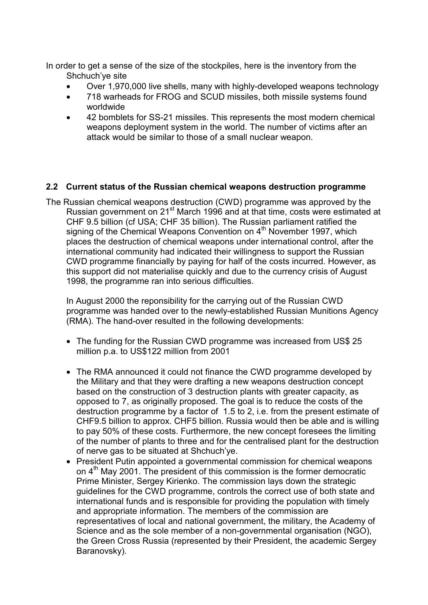In order to get a sense of the size of the stockpiles, here is the inventory from the Shchuch'ye site

- Over 1,970,000 live shells, many with highly-developed weapons technology
- 718 warheads for FROG and SCUD missiles, both missile systems found worldwide
- 42 bomblets for SS-21 missiles. This represents the most modern chemical weapons deployment system in the world. The number of victims after an attack would be similar to those of a small nuclear weapon.

# **2.2 Current status of the Russian chemical weapons destruction programme**

The Russian chemical weapons destruction (CWD) programme was approved by the Russian government on 21<sup>st</sup> March 1996 and at that time, costs were estimated at CHF 9.5 billion (cf USA; CHF 35 billion). The Russian parliament ratified the signing of the Chemical Weapons Convention on 4<sup>th</sup> November 1997, which places the destruction of chemical weapons under international control, after the international community had indicated their willingness to support the Russian CWD programme financially by paying for half of the costs incurred. However, as this support did not materialise quickly and due to the currency crisis of August 1998, the programme ran into serious difficulties.

In August 2000 the reponsibility for the carrying out of the Russian CWD programme was handed over to the newly-established Russian Munitions Agency (RMA). The hand-over resulted in the following developments:

- The funding for the Russian CWD programme was increased from US\$ 25 million p.a. to US\$122 million from 2001
- The RMA announced it could not finance the CWD programme developed by the Military and that they were drafting a new weapons destruction concept based on the construction of 3 destruction plants with greater capacity, as opposed to 7, as originally proposed. The goal is to reduce the costs of the destruction programme by a factor of 1.5 to 2, i.e. from the present estimate of CHF9.5 billion to approx. CHF5 billion. Russia would then be able and is willing to pay 50% of these costs. Furthermore, the new concept foresees the limiting of the number of plants to three and for the centralised plant for the destruction of nerve gas to be situated at Shchuch'ye.
- President Putin appointed a governmental commission for chemical weapons on  $4<sup>th</sup>$  May 2001. The president of this commission is the former democratic Prime Minister, Sergey Kirienko. The commission lays down the strategic guidelines for the CWD programme, controls the correct use of both state and international funds and is responsible for providing the population with timely and appropriate information. The members of the commission are representatives of local and national government, the military, the Academy of Science and as the sole member of a non-governmental organisation (NGO), the Green Cross Russia (represented by their President, the academic Sergey Baranovsky).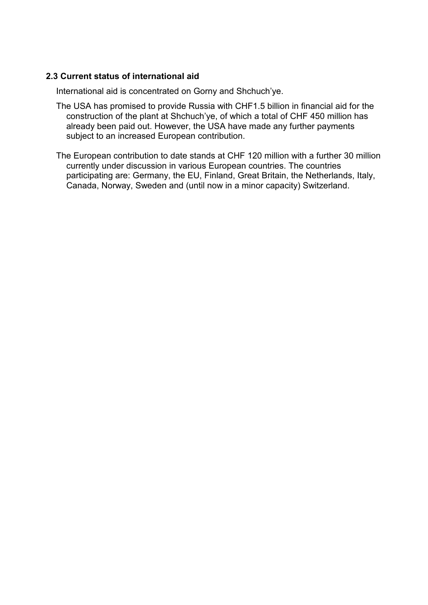#### **2.3 Current status of international aid**

International aid is concentrated on Gorny and Shchuch'ye.

- The USA has promised to provide Russia with CHF1.5 billion in financial aid for the construction of the plant at Shchuch'ye, of which a total of CHF 450 million has already been paid out. However, the USA have made any further payments subject to an increased European contribution.
- The European contribution to date stands at CHF 120 million with a further 30 million currently under discussion in various European countries. The countries participating are: Germany, the EU, Finland, Great Britain, the Netherlands, Italy, Canada, Norway, Sweden and (until now in a minor capacity) Switzerland.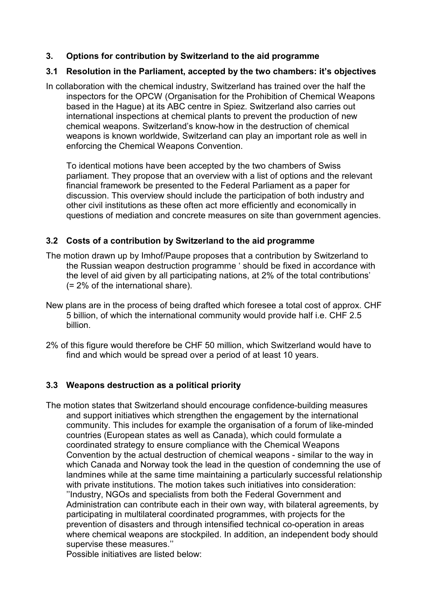#### **3. Options for contribution by Switzerland to the aid programme**

#### **3.1 Resolution in the Parliament, accepted by the two chambers: it's objectives**

In collaboration with the chemical industry, Switzerland has trained over the half the inspectors for the OPCW (Organisation for the Prohibition of Chemical Weapons based in the Hague) at its ABC centre in Spiez. Switzerland also carries out international inspections at chemical plants to prevent the production of new chemical weapons. Switzerland's know-how in the destruction of chemical weapons is known worldwide, Switzerland can play an important role as well in enforcing the Chemical Weapons Convention.

To identical motions have been accepted by the two chambers of Swiss parliament. They propose that an overview with a list of options and the relevant financial framework be presented to the Federal Parliament as a paper for discussion. This overview should include the participation of both industry and other civil institutions as these often act more efficiently and economically in questions of mediation and concrete measures on site than government agencies.

#### **3.2 Costs of a contribution by Switzerland to the aid programme**

- The motion drawn up by Imhof/Paupe proposes that a contribution by Switzerland to the Russian weapon destruction programme ' should be fixed in accordance with the level of aid given by all participating nations, at 2% of the total contributions' (= 2% of the international share).
- New plans are in the process of being drafted which foresee a total cost of approx. CHF 5 billion, of which the international community would provide half i.e. CHF 2.5 billion.
- 2% of this figure would therefore be CHF 50 million, which Switzerland would have to find and which would be spread over a period of at least 10 years.

# **3.3 Weapons destruction as a political priority**

The motion states that Switzerland should encourage confidence-building measures and support initiatives which strengthen the engagement by the international community. This includes for example the organisation of a forum of like-minded countries (European states as well as Canada), which could formulate a coordinated strategy to ensure compliance with the Chemical Weapons Convention by the actual destruction of chemical weapons - similar to the way in which Canada and Norway took the lead in the question of condemning the use of landmines while at the same time maintaining a particularly successful relationship with private institutions. The motion takes such initiatives into consideration: ''Industry, NGOs and specialists from both the Federal Government and Administration can contribute each in their own way, with bilateral agreements, by participating in multilateral coordinated programmes, with projects for the prevention of disasters and through intensified technical co-operation in areas where chemical weapons are stockpiled. In addition, an independent body should supervise these measures.''

Possible initiatives are listed below: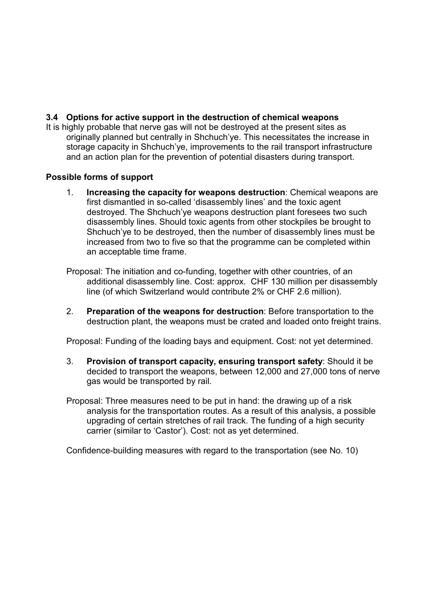#### **3.4 Options for active support in the destruction of chemical weapons**

It is highly probable that nerve gas will not be destroyed at the present sites as originally planned but centrally in Shchuch'ye. This necessitates the increase in storage capacity in Shchuch'ye, improvements to the rail transport infrastructure and an action plan for the prevention of potential disasters during transport.

#### **Possible forms of support**

- 1. **Increasing the capacity for weapons destruction**: Chemical weapons are first dismantled in so-called 'disassembly lines' and the toxic agent destroyed. The Shchuch'ye weapons destruction plant foresees two such disassembly lines. Should toxic agents from other stockpiles be brought to Shchuch'ye to be destroyed, then the number of disassembly lines must be increased from two to five so that the programme can be completed within an acceptable time frame.
- Proposal: The initiation and co-funding, together with other countries, of an additional disassembly line. Cost: approx. CHF 130 million per disassembly line (of which Switzerland would contribute 2% or CHF 2.6 million).
- 2. **Preparation of the weapons for destruction**: Before transportation to the destruction plant, the weapons must be crated and loaded onto freight trains.

Proposal: Funding of the loading bays and equipment. Cost: not yet determined.

- 3. **Provision of transport capacity, ensuring transport safety**: Should it be decided to transport the weapons, between 12,000 and 27,000 tons of nerve gas would be transported by rail.
- Proposal: Three measures need to be put in hand: the drawing up of a risk analysis for the transportation routes. As a result of this analysis, a possible upgrading of certain stretches of rail track. The funding of a high security carrier (similar to 'Castor'). Cost: not as yet determined.

Confidence-building measures with regard to the transportation (see No. 10)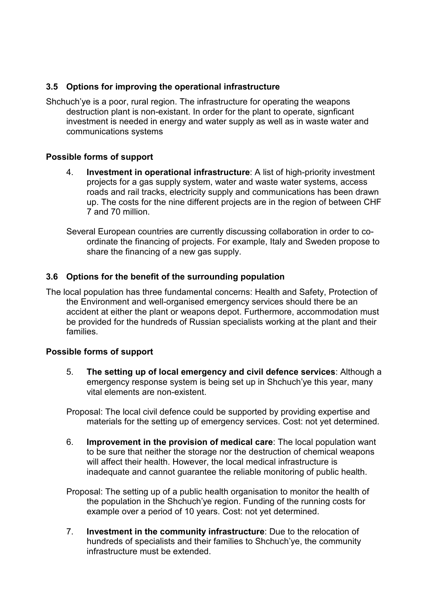# **3.5 Options for improving the operational infrastructure**

Shchuch'ye is a poor, rural region. The infrastructure for operating the weapons destruction plant is non-existant. In order for the plant to operate, signficant investment is needed in energy and water supply as well as in waste water and communications systems

#### **Possible forms of support**

- 4. **Investment in operational infrastructure**: A list of high-priority investment projects for a gas supply system, water and waste water systems, access roads and rail tracks, electricity supply and communications has been drawn up. The costs for the nine different projects are in the region of between CHF 7 and 70 million.
- Several European countries are currently discussing collaboration in order to coordinate the financing of projects. For example, Italy and Sweden propose to share the financing of a new gas supply.

# **3.6 Options for the benefit of the surrounding population**

The local population has three fundamental concerns: Health and Safety, Protection of the Environment and well-organised emergency services should there be an accident at either the plant or weapons depot. Furthermore, accommodation must be provided for the hundreds of Russian specialists working at the plant and their families.

#### **Possible forms of support**

- 5. **The setting up of local emergency and civil defence services**: Although a emergency response system is being set up in Shchuch'ye this year, many vital elements are non-existent.
- Proposal: The local civil defence could be supported by providing expertise and materials for the setting up of emergency services. Cost: not yet determined.
- 6. **Improvement in the provision of medical care**: The local population want to be sure that neither the storage nor the destruction of chemical weapons will affect their health. However, the local medical infrastructure is inadequate and cannot guarantee the reliable monitoring of public health.
- Proposal: The setting up of a public health organisation to monitor the health of the population in the Shchuch'ye region. Funding of the running costs for example over a period of 10 years. Cost: not yet determined.
- 7. **Investment in the community infrastructure**: Due to the relocation of hundreds of specialists and their families to Shchuch'ye, the community infrastructure must be extended.